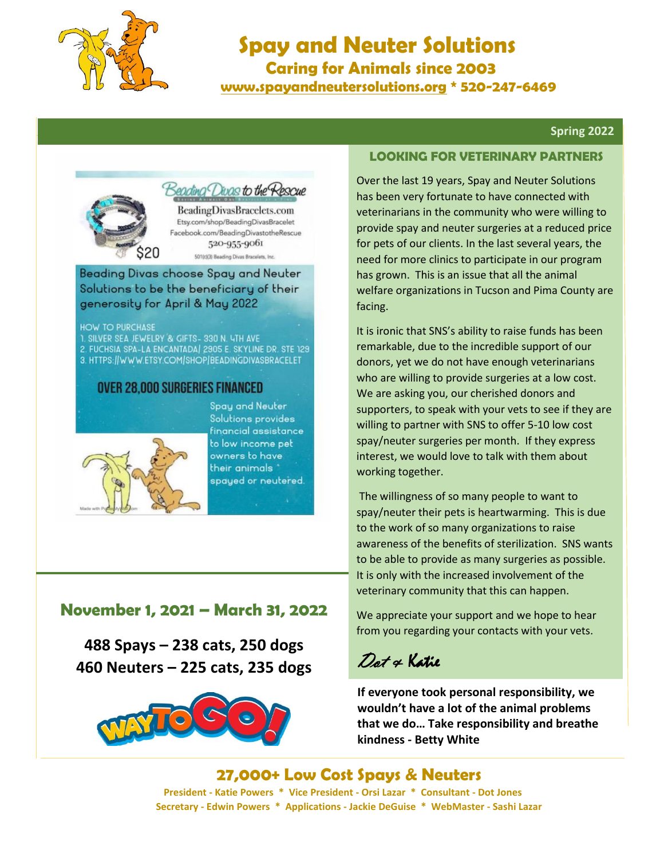

# **Spay and Neuter Solutions Caring for Animals since 2003**

 **[www.spayandneutersolutions.org](http://www.spayandneutersolutions.org/) \* 520-247-6469**

#### **Spring 2022**



Beading Divas to the Rescue

BeadingDivasBracelets.com Etsy.com/shop/BeadingDivasBracelet Facebook.com/BeadingDivastotheRescue 520-955-9061 501(c)(3) Beading Divas Bracelets, Inc.

Beading Divas choose Spay and Neuter Solutions to be the beneficiary of their generosity for April & May 2022

**HOW TO PURCHASE** 

1. SILVER SEA JEWELRY & GIFTS- 330 N. LTH AVE 2. FUCHSIA SPA-LA ENCANTADA | 2905 E. SKYLINE DR. STE 129 3. HTTPS://WWW.ETSY.COM/SHOP/BEADINGDIVASBRACELET

#### **OVER 28,000 SURGERIES FINANCED**



Spay and Neuter Solutions provides financial assistance to low income pet owners to have their animals " spayed or neutered.

### **November 1, 2021 – March 31, 2022**

**488 Spays – 238 cats, 250 dogs 460 Neuters – 225 cats, 235 dogs**



#### **LOOKING FOR VETERINARY PARTNERS**

Over the last 19 years, Spay and Neuter Solutions has been very fortunate to have connected with veterinarians in the community who were willing to provide spay and neuter surgeries at a reduced price for pets of our clients. In the last several years, the need for more clinics to participate in our program has grown. This is an issue that all the animal welfare organizations in Tucson and Pima County are facing.

It is ironic that SNS's ability to raise funds has been remarkable, due to the incredible support of our donors, yet we do not have enough veterinarians who are willing to provide surgeries at a low cost. We are asking you, our cherished donors and supporters, to speak with your vets to see if they are willing to partner with SNS to offer 5-10 low cost spay/neuter surgeries per month. If they express interest, we would love to talk with them about working together.

The willingness of so many people to want to spay/neuter their pets is heartwarming. This is due to the work of so many organizations to raise awareness of the benefits of sterilization. SNS wants to be able to provide as many surgeries as possible. It is only with the increased involvement of the veterinary community that this can happen.

We appreciate your support and we hope to hear from you regarding your contacts with your vets.

## Dot & Katie

**If everyone took personal responsibility, we wouldn't have a lot of the animal problems that we do… Take responsibility and breathe kindness - Betty White**

 **27,000+ Low Cost Spays & Neuters President - Katie Powers \* Vice President - Orsi Lazar \* Consultant - Dot Jones Secretary - Edwin Powers \* Applications - Jackie DeGuise \* WebMaster - Sashi Lazar**